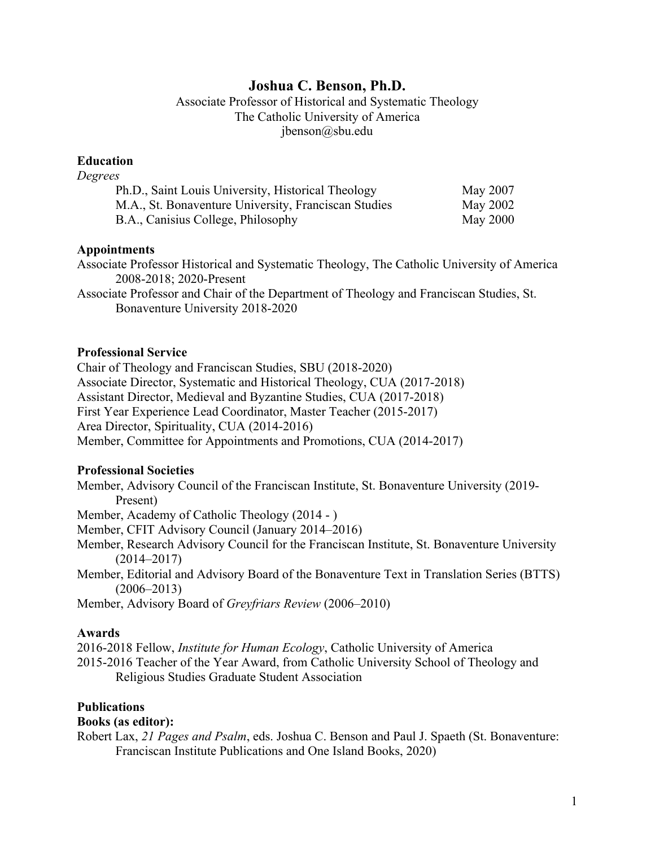# **Joshua C. Benson, Ph.D.**

Associate Professor of Historical and Systematic Theology The Catholic University of America jbenson@sbu.edu

### **Education**

| Degrees                                              |          |
|------------------------------------------------------|----------|
| Ph.D., Saint Louis University, Historical Theology   | May 2007 |
| M.A., St. Bonaventure University, Franciscan Studies | May 2002 |
| B.A., Canisius College, Philosophy                   | May 2000 |

#### **Appointments**

Associate Professor Historical and Systematic Theology, The Catholic University of America 2008-2018; 2020-Present

Associate Professor and Chair of the Department of Theology and Franciscan Studies, St. Bonaventure University 2018-2020

#### **Professional Service**

Chair of Theology and Franciscan Studies, SBU (2018-2020) Associate Director, Systematic and Historical Theology, CUA (2017-2018) Assistant Director, Medieval and Byzantine Studies, CUA (2017-2018) First Year Experience Lead Coordinator, Master Teacher (2015-2017) Area Director, Spirituality, CUA (2014-2016) Member, Committee for Appointments and Promotions, CUA (2014-2017)

#### **Professional Societies**

Member, Advisory Council of the Franciscan Institute, St. Bonaventure University (2019- Present)

Member, Academy of Catholic Theology (2014 - )

Member, CFIT Advisory Council (January 2014–2016)

Member, Research Advisory Council for the Franciscan Institute, St. Bonaventure University (2014–2017)

Member, Editorial and Advisory Board of the Bonaventure Text in Translation Series (BTTS) (2006–2013)

Member, Advisory Board of *Greyfriars Review* (2006–2010)

#### **Awards**

2016-2018 Fellow, *Institute for Human Ecology*, Catholic University of America 2015-2016 Teacher of the Year Award, from Catholic University School of Theology and Religious Studies Graduate Student Association

### **Publications**

#### **Books (as editor):**

Robert Lax, *21 Pages and Psalm*, eds. Joshua C. Benson and Paul J. Spaeth (St. Bonaventure: Franciscan Institute Publications and One Island Books, 2020)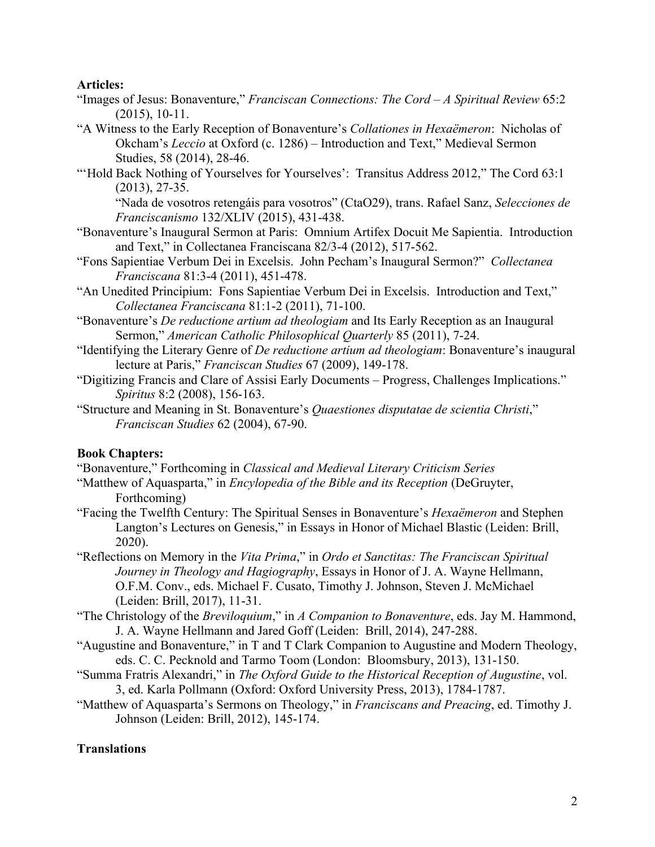### **Articles:**

- "Images of Jesus: Bonaventure," *Franciscan Connections: The Cord – A Spiritual Review* 65:2 (2015), 10-11.
- "A Witness to the Early Reception of Bonaventure's *Collationes in Hexaëmeron*: Nicholas of Okcham's *Leccio* at Oxford (c. 1286) – Introduction and Text," Medieval Sermon Studies, 58 (2014), 28-46.
- "'Hold Back Nothing of Yourselves for Yourselves': Transitus Address 2012," The Cord 63:1 (2013), 27-35.

"Nada de vosotros retengáis para vosotros" (CtaO29), trans. Rafael Sanz, *Selecciones de Franciscanismo* 132/XLIV (2015), 431-438.

- "Bonaventure's Inaugural Sermon at Paris: Omnium Artifex Docuit Me Sapientia. Introduction and Text," in Collectanea Franciscana 82/3-4 (2012), 517-562.
- "Fons Sapientiae Verbum Dei in Excelsis. John Pecham's Inaugural Sermon?" *Collectanea Franciscana* 81:3-4 (2011), 451-478.
- "An Unedited Principium: Fons Sapientiae Verbum Dei in Excelsis. Introduction and Text," *Collectanea Franciscana* 81:1-2 (2011), 71-100.
- "Bonaventure's *De reductione artium ad theologiam* and Its Early Reception as an Inaugural Sermon," *American Catholic Philosophical Quarterly* 85 (2011), 7-24.
- "Identifying the Literary Genre of *De reductione artium ad theologiam*: Bonaventure's inaugural lecture at Paris," *Franciscan Studies* 67 (2009), 149-178.
- "Digitizing Francis and Clare of Assisi Early Documents Progress, Challenges Implications." *Spiritus* 8:2 (2008), 156-163.
- "Structure and Meaning in St. Bonaventure's *Quaestiones disputatae de scientia Christi*," *Franciscan Studies* 62 (2004), 67-90.

### **Book Chapters:**

"Bonaventure," Forthcoming in *Classical and Medieval Literary Criticism Series*

- "Matthew of Aquasparta," in *Encylopedia of the Bible and its Reception* (DeGruyter, Forthcoming)
- "Facing the Twelfth Century: The Spiritual Senses in Bonaventure's *Hexaëmeron* and Stephen Langton's Lectures on Genesis," in Essays in Honor of Michael Blastic (Leiden: Brill, 2020).
- "Reflections on Memory in the *Vita Prima*," in *Ordo et Sanctitas: The Franciscan Spiritual Journey in Theology and Hagiography*, Essays in Honor of J. A. Wayne Hellmann, O.F.M. Conv., eds. Michael F. Cusato, Timothy J. Johnson, Steven J. McMichael (Leiden: Brill, 2017), 11-31.
- "The Christology of the *Breviloquium*," in *A Companion to Bonaventure*, eds. Jay M. Hammond, J. A. Wayne Hellmann and Jared Goff (Leiden: Brill, 2014), 247-288.
- "Augustine and Bonaventure," in T and T Clark Companion to Augustine and Modern Theology, eds. C. C. Pecknold and Tarmo Toom (London: Bloomsbury, 2013), 131-150.
- "Summa Fratris Alexandri," in *The Oxford Guide to the Historical Reception of Augustine*, vol. 3, ed. Karla Pollmann (Oxford: Oxford University Press, 2013), 1784-1787.
- "Matthew of Aquasparta's Sermons on Theology," in *Franciscans and Preacing*, ed. Timothy J. Johnson (Leiden: Brill, 2012), 145-174.

## **Translations**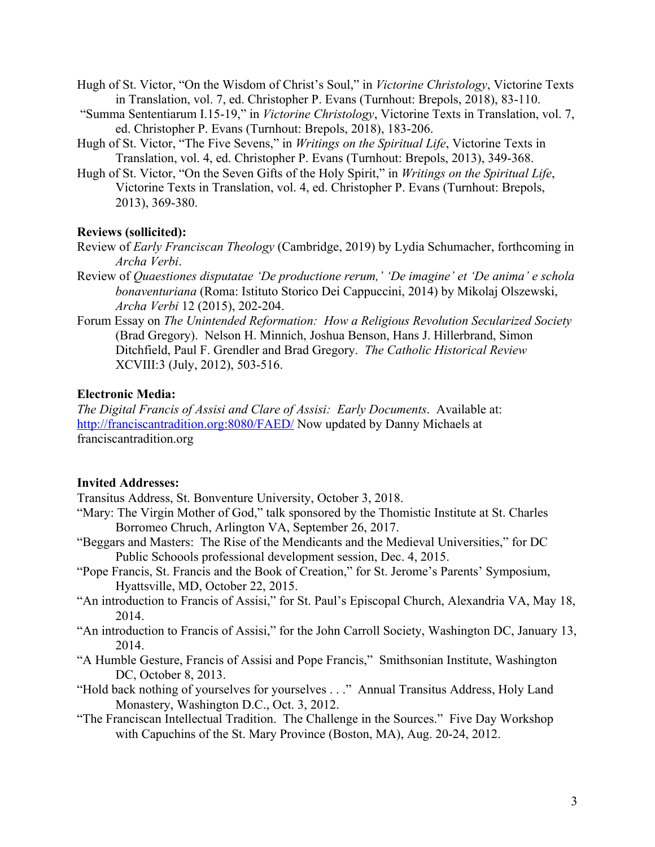- Hugh of St. Victor, "On the Wisdom of Christ's Soul," in *Victorine Christology*, Victorine Texts in Translation, vol. 7, ed. Christopher P. Evans (Turnhout: Brepols, 2018), 83-110.
- "Summa Sententiarum I.15-19," in *Victorine Christology*, Victorine Texts in Translation, vol. 7, ed. Christopher P. Evans (Turnhout: Brepols, 2018), 183-206.
- Hugh of St. Victor, "The Five Sevens," in *Writings on the Spiritual Life*, Victorine Texts in Translation, vol. 4, ed. Christopher P. Evans (Turnhout: Brepols, 2013), 349-368.
- Hugh of St. Victor, "On the Seven Gifts of the Holy Spirit," in *Writings on the Spiritual Life*, Victorine Texts in Translation, vol. 4, ed. Christopher P. Evans (Turnhout: Brepols, 2013), 369-380.

#### **Reviews (sollicited):**

- Review of *Early Franciscan Theology* (Cambridge, 2019) by Lydia Schumacher, forthcoming in *Archa Verbi*.
- Review of *Quaestiones disputatae 'De productione rerum,' 'De imagine' et 'De anima' e schola bonaventuriana* (Roma: Istituto Storico Dei Cappuccini, 2014) by Mikolaj Olszewski, *Archa Verbi* 12 (2015), 202-204.
- Forum Essay on *The Unintended Reformation: How a Religious Revolution Secularized Society*  (Brad Gregory). Nelson H. Minnich, Joshua Benson, Hans J. Hillerbrand, Simon Ditchfield, Paul F. Grendler and Brad Gregory. *The Catholic Historical Review* XCVIII:3 (July, 2012), 503-516.

### **Electronic Media:**

*The Digital Francis of Assisi and Clare of Assisi: Early Documents*. Available at: http://franciscantradition.org:8080/FAED/ Now updated by Danny Michaels at franciscantradition.org

#### **Invited Addresses:**

Transitus Address, St. Bonventure University, October 3, 2018.

- "Mary: The Virgin Mother of God," talk sponsored by the Thomistic Institute at St. Charles Borromeo Chruch, Arlington VA, September 26, 2017.
- "Beggars and Masters: The Rise of the Mendicants and the Medieval Universities," for DC Public Schoools professional development session, Dec. 4, 2015.
- "Pope Francis, St. Francis and the Book of Creation," for St. Jerome's Parents' Symposium, Hyattsville, MD, October 22, 2015.
- "An introduction to Francis of Assisi," for St. Paul's Episcopal Church, Alexandria VA, May 18, 2014.
- "An introduction to Francis of Assisi," for the John Carroll Society, Washington DC, January 13, 2014.
- "A Humble Gesture, Francis of Assisi and Pope Francis," Smithsonian Institute, Washington DC, October 8, 2013.
- "Hold back nothing of yourselves for yourselves . . ." Annual Transitus Address, Holy Land Monastery, Washington D.C., Oct. 3, 2012.
- "The Franciscan Intellectual Tradition. The Challenge in the Sources." Five Day Workshop with Capuchins of the St. Mary Province (Boston, MA), Aug. 20-24, 2012.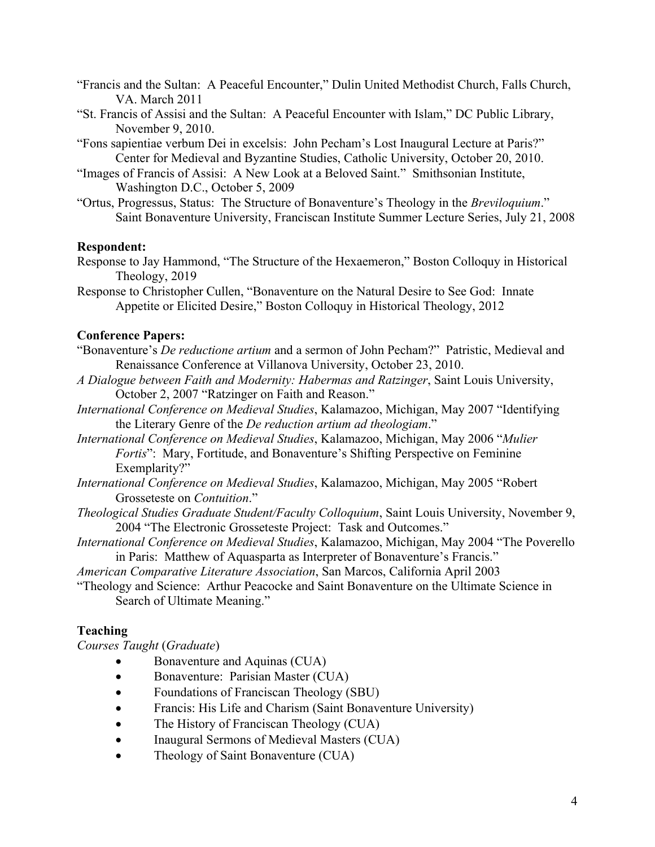- "Francis and the Sultan: A Peaceful Encounter," Dulin United Methodist Church, Falls Church, VA. March 2011
- "St. Francis of Assisi and the Sultan: A Peaceful Encounter with Islam," DC Public Library, November 9, 2010.
- "Fons sapientiae verbum Dei in excelsis: John Pecham's Lost Inaugural Lecture at Paris?" Center for Medieval and Byzantine Studies, Catholic University, October 20, 2010.
- "Images of Francis of Assisi: A New Look at a Beloved Saint." Smithsonian Institute, Washington D.C., October 5, 2009
- "Ortus, Progressus, Status: The Structure of Bonaventure's Theology in the *Breviloquium*." Saint Bonaventure University, Franciscan Institute Summer Lecture Series, July 21, 2008

### **Respondent:**

- Response to Jay Hammond, "The Structure of the Hexaemeron," Boston Colloquy in Historical Theology, 2019
- Response to Christopher Cullen, "Bonaventure on the Natural Desire to See God: Innate Appetite or Elicited Desire," Boston Colloquy in Historical Theology, 2012

### **Conference Papers:**

- "Bonaventure's *De reductione artium* and a sermon of John Pecham?" Patristic, Medieval and Renaissance Conference at Villanova University, October 23, 2010.
- *A Dialogue between Faith and Modernity: Habermas and Ratzinger*, Saint Louis University, October 2, 2007 "Ratzinger on Faith and Reason."
- *International Conference on Medieval Studies*, Kalamazoo, Michigan, May 2007 "Identifying the Literary Genre of the *De reduction artium ad theologiam*."
- *International Conference on Medieval Studies*, Kalamazoo, Michigan, May 2006 "*Mulier Fortis*": Mary, Fortitude, and Bonaventure's Shifting Perspective on Feminine Exemplarity?"
- *International Conference on Medieval Studies*, Kalamazoo, Michigan, May 2005 "Robert Grosseteste on *Contuition*."
- *Theological Studies Graduate Student/Faculty Colloquium*, Saint Louis University, November 9, 2004 "The Electronic Grosseteste Project: Task and Outcomes."
- *International Conference on Medieval Studies*, Kalamazoo, Michigan, May 2004 "The Poverello in Paris: Matthew of Aquasparta as Interpreter of Bonaventure's Francis."
- *American Comparative Literature Association*, San Marcos, California April 2003
- "Theology and Science: Arthur Peacocke and Saint Bonaventure on the Ultimate Science in Search of Ultimate Meaning."

### **Teaching**

*Courses Taught* (*Graduate*)

- Bonaventure and Aquinas (CUA)
- Bonaventure: Parisian Master (CUA)
- Foundations of Franciscan Theology (SBU)
- Francis: His Life and Charism (Saint Bonaventure University)
- The History of Franciscan Theology (CUA)
- Inaugural Sermons of Medieval Masters (CUA)
- Theology of Saint Bonaventure (CUA)